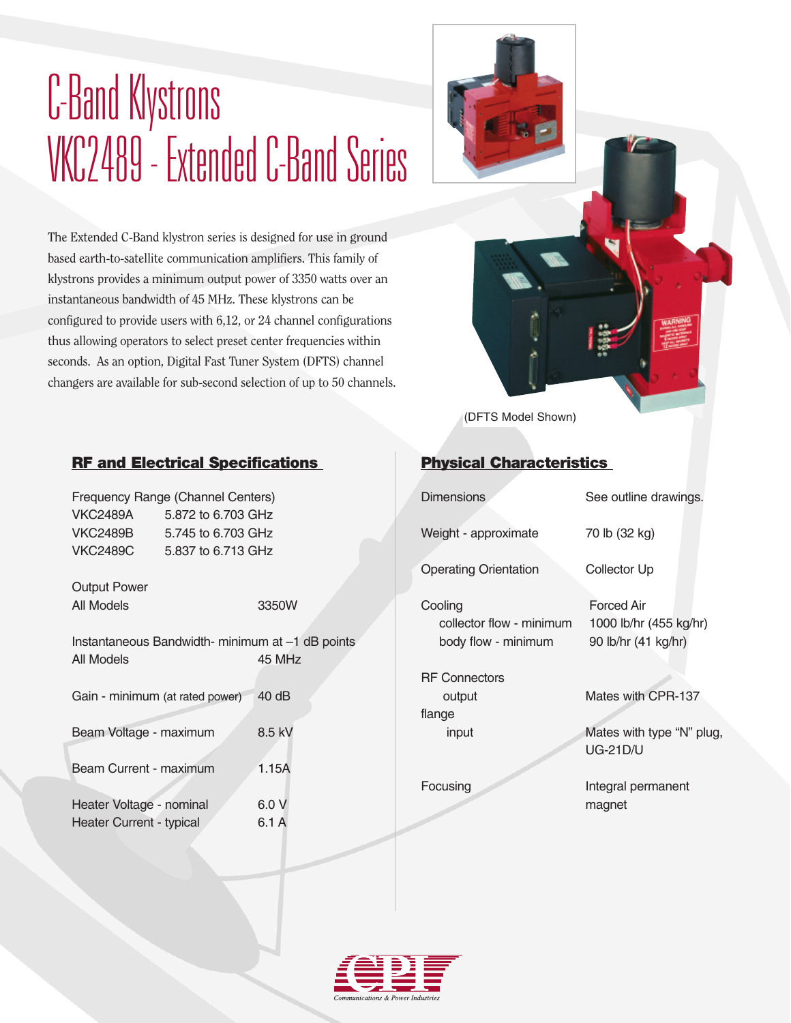## C-Band Klystrons VKC2489 - Extended C-Band Series

The Extended C-Band klystron series is designed for use in ground based earth-to-satellite communication amplifiers. This family of klystrons provides a minimum output power of 3350 watts over an instantaneous bandwidth of 45 MHz. These klystrons can be configured to provide users with 6,12, or 24 channel configurations thus allowing operators to select preset center frequencies within seconds. As an option, Digital Fast Tuner System (DFTS) channel changers are available for sub-second selection of up to 50 channels.



#### RF and Electrical Specifications

| Frequency Range (Channel Centers) |
|-----------------------------------|
| 5.872 to 6.703 GHz                |
| 5.745 to 6.703 GHz                |
| 5.837 to 6.713 GHz                |
|                                   |

Output Power All Models 3350W

Instantaneous Bandwidth- minimum at –1 dB points All Models 45 MHz

|  | Gain - minimum (at rated power) | 40dB |
|--|---------------------------------|------|
|--|---------------------------------|------|

Beam Voltage - maximum 8.5 kV

| Beam Current - maximum | 1.15A |
|------------------------|-------|
|                        |       |

| Heater Voltage - nominal | 6.0 V |
|--------------------------|-------|
| Heater Current - typical | 6.1 A |

## Physical Characteristics

| <b>Dimensions</b>                                          | See outline drawings.                                              |  |  |
|------------------------------------------------------------|--------------------------------------------------------------------|--|--|
| Weight - approximate                                       | 70 lb (32 kg)                                                      |  |  |
| Operating Orientation                                      | <b>Collector Up</b>                                                |  |  |
| Cooling<br>collector flow - minimum<br>body flow - minimum | <b>Forced Air</b><br>1000 lb/hr (455 kg/hr)<br>90 lb/hr (41 kg/hr) |  |  |
| <b>RF Connectors</b>                                       |                                                                    |  |  |
| output<br>flange                                           | Mates with CPR-137                                                 |  |  |
| input                                                      | Mates with type "N" plug,<br><b>UG-21D/U</b>                       |  |  |
| Focusing                                                   | Integral permanent<br>magnet                                       |  |  |